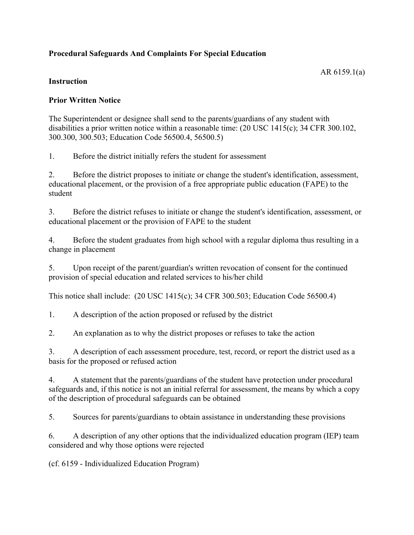# **Procedural Safeguards And Complaints For Special Education**

## **Instruction**

## **Prior Written Notice**

The Superintendent or designee shall send to the parents/guardians of any student with disabilities a prior written notice within a reasonable time: (20 USC 1415(c); 34 CFR 300.102, 300.300, 300.503; Education Code 56500.4, 56500.5)

1. Before the district initially refers the student for assessment

2. Before the district proposes to initiate or change the student's identification, assessment, educational placement, or the provision of a free appropriate public education (FAPE) to the student

3. Before the district refuses to initiate or change the student's identification, assessment, or educational placement or the provision of FAPE to the student

4. Before the student graduates from high school with a regular diploma thus resulting in a change in placement

5. Upon receipt of the parent/guardian's written revocation of consent for the continued provision of special education and related services to his/her child

This notice shall include: (20 USC 1415(c); 34 CFR 300.503; Education Code 56500.4)

1. A description of the action proposed or refused by the district

2. An explanation as to why the district proposes or refuses to take the action

3. A description of each assessment procedure, test, record, or report the district used as a basis for the proposed or refused action

4. A statement that the parents/guardians of the student have protection under procedural safeguards and, if this notice is not an initial referral for assessment, the means by which a copy of the description of procedural safeguards can be obtained

5. Sources for parents/guardians to obtain assistance in understanding these provisions

6. A description of any other options that the individualized education program (IEP) team considered and why those options were rejected

(cf. 6159 - Individualized Education Program)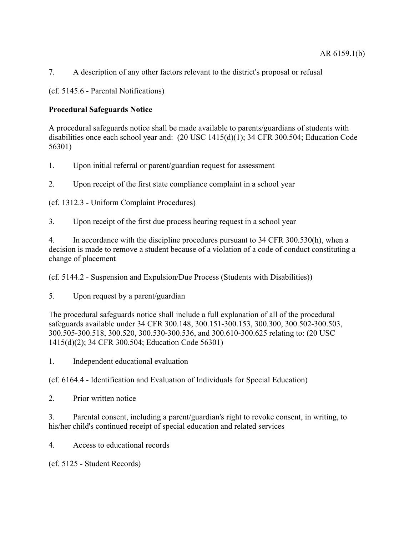7. A description of any other factors relevant to the district's proposal or refusal

(cf. 5145.6 - Parental Notifications)

## **Procedural Safeguards Notice**

A procedural safeguards notice shall be made available to parents/guardians of students with disabilities once each school year and: (20 USC 1415(d)(1); 34 CFR 300.504; Education Code 56301)

1. Upon initial referral or parent/guardian request for assessment

2. Upon receipt of the first state compliance complaint in a school year

(cf. 1312.3 - Uniform Complaint Procedures)

3. Upon receipt of the first due process hearing request in a school year

4. In accordance with the discipline procedures pursuant to 34 CFR 300.530(h), when a decision is made to remove a student because of a violation of a code of conduct constituting a change of placement

(cf. 5144.2 - Suspension and Expulsion/Due Process (Students with Disabilities))

5. Upon request by a parent/guardian

The procedural safeguards notice shall include a full explanation of all of the procedural safeguards available under 34 CFR 300.148, 300.151-300.153, 300.300, 300.502-300.503, 300.505-300.518, 300.520, 300.530-300.536, and 300.610-300.625 relating to: (20 USC 1415(d)(2); 34 CFR 300.504; Education Code 56301)

1. Independent educational evaluation

(cf. 6164.4 - Identification and Evaluation of Individuals for Special Education)

2. Prior written notice

3. Parental consent, including a parent/guardian's right to revoke consent, in writing, to his/her child's continued receipt of special education and related services

4. Access to educational records

(cf. 5125 - Student Records)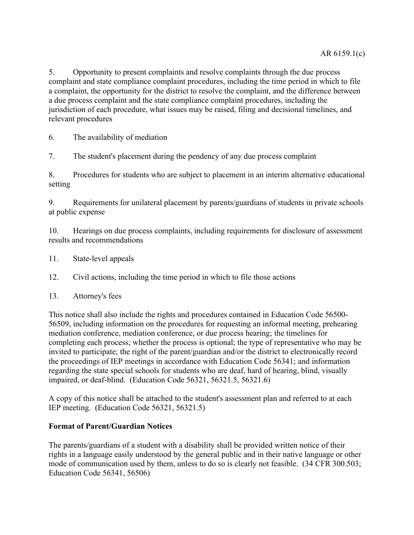5. Opportunity to present complaints and resolve complaints through the due process complaint and state compliance complaint procedures, including the time period in which to file a complaint, the opportunity for the district to resolve the complaint, and the difference between a due process complaint and the state compliance complaint procedures, including the jurisdiction of each procedure, what issues may be raised, filing and decisional timelines, and relevant procedures

6. The availability of mediation

7. The student's placement during the pendency of any due process complaint

8. Procedures for students who are subject to placement in an interim alternative educational setting

9. Requirements for unilateral placement by parents/guardians of students in private schools at public expense

10. Hearings on due process complaints, including requirements for disclosure of assessment results and recommendations

11. State-level appeals

12. Civil actions, including the time period in which to file those actions

13. Attorney's fees

This notice shall also include the rights and procedures contained in Education Code 56500- 56509, including information on the procedures for requesting an informal meeting, prehearing mediation conference, mediation conference, or due process hearing; the timelines for completing each process; whether the process is optional; the type of representative who may be invited to participate; the right of the parent/guardian and/or the district to electronically record the proceedings of IEP meetings in accordance with Education Code 56341; and information regarding the state special schools for students who are deaf, hard of hearing, blind, visually impaired, or deaf-blind. (Education Code 56321, 56321.5, 56321.6)

A copy of this notice shall be attached to the student's assessment plan and referred to at each IEP meeting. (Education Code 56321, 56321.5)

#### **Format of Parent/Guardian Notices**

The parents/guardians of a student with a disability shall be provided written notice of their rights in a language easily understood by the general public and in their native language or other mode of communication used by them, unless to do so is clearly not feasible. (34 CFR 300.503; Education Code 56341, 56506)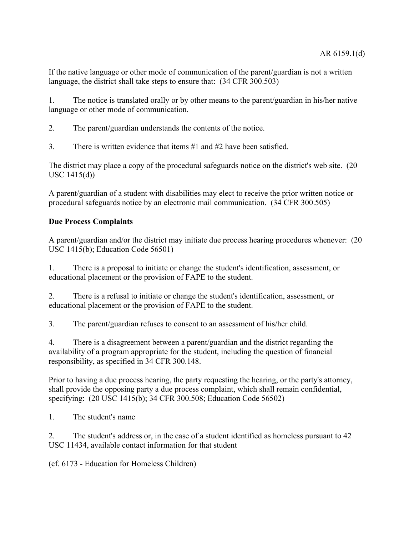If the native language or other mode of communication of the parent/guardian is not a written language, the district shall take steps to ensure that: (34 CFR 300.503)

1. The notice is translated orally or by other means to the parent/guardian in his/her native language or other mode of communication.

2. The parent/guardian understands the contents of the notice.

3 There is written evidence that items  $#1$  and  $#2$  have been satisfied.

The district may place a copy of the procedural safeguards notice on the district's web site. (20 USC 1415(d))

A parent/guardian of a student with disabilities may elect to receive the prior written notice or procedural safeguards notice by an electronic mail communication. (34 CFR 300.505)

## **Due Process Complaints**

A parent/guardian and/or the district may initiate due process hearing procedures whenever: (20 USC 1415(b); Education Code 56501)

1. There is a proposal to initiate or change the student's identification, assessment, or educational placement or the provision of FAPE to the student.

2. There is a refusal to initiate or change the student's identification, assessment, or educational placement or the provision of FAPE to the student.

3. The parent/guardian refuses to consent to an assessment of his/her child.

4. There is a disagreement between a parent/guardian and the district regarding the availability of a program appropriate for the student, including the question of financial responsibility, as specified in 34 CFR 300.148.

Prior to having a due process hearing, the party requesting the hearing, or the party's attorney, shall provide the opposing party a due process complaint, which shall remain confidential, specifying: (20 USC 1415(b); 34 CFR 300.508; Education Code 56502)

1. The student's name

2. The student's address or, in the case of a student identified as homeless pursuant to 42 USC 11434, available contact information for that student

(cf. 6173 - Education for Homeless Children)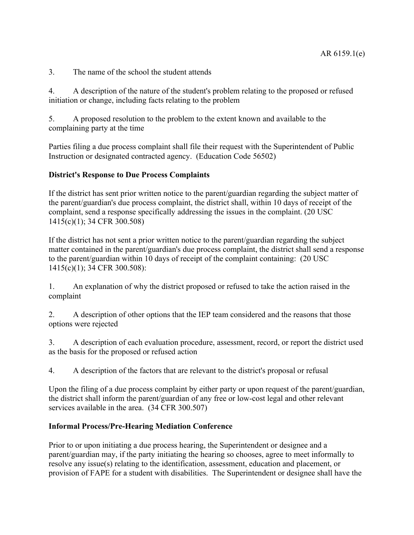3. The name of the school the student attends

4. A description of the nature of the student's problem relating to the proposed or refused initiation or change, including facts relating to the problem

5. A proposed resolution to the problem to the extent known and available to the complaining party at the time

Parties filing a due process complaint shall file their request with the Superintendent of Public Instruction or designated contracted agency. (Education Code 56502)

### **District's Response to Due Process Complaints**

If the district has sent prior written notice to the parent/guardian regarding the subject matter of the parent/guardian's due process complaint, the district shall, within 10 days of receipt of the complaint, send a response specifically addressing the issues in the complaint. (20 USC 1415(c)(1); 34 CFR 300.508)

If the district has not sent a prior written notice to the parent/guardian regarding the subject matter contained in the parent/guardian's due process complaint, the district shall send a response to the parent/guardian within 10 days of receipt of the complaint containing: (20 USC 1415(c)(1); 34 CFR 300.508):

1. An explanation of why the district proposed or refused to take the action raised in the complaint

2. A description of other options that the IEP team considered and the reasons that those options were rejected

3. A description of each evaluation procedure, assessment, record, or report the district used as the basis for the proposed or refused action

4. A description of the factors that are relevant to the district's proposal or refusal

Upon the filing of a due process complaint by either party or upon request of the parent/guardian, the district shall inform the parent/guardian of any free or low-cost legal and other relevant services available in the area. (34 CFR 300.507)

#### **Informal Process/Pre-Hearing Mediation Conference**

Prior to or upon initiating a due process hearing, the Superintendent or designee and a parent/guardian may, if the party initiating the hearing so chooses, agree to meet informally to resolve any issue(s) relating to the identification, assessment, education and placement, or provision of FAPE for a student with disabilities. The Superintendent or designee shall have the